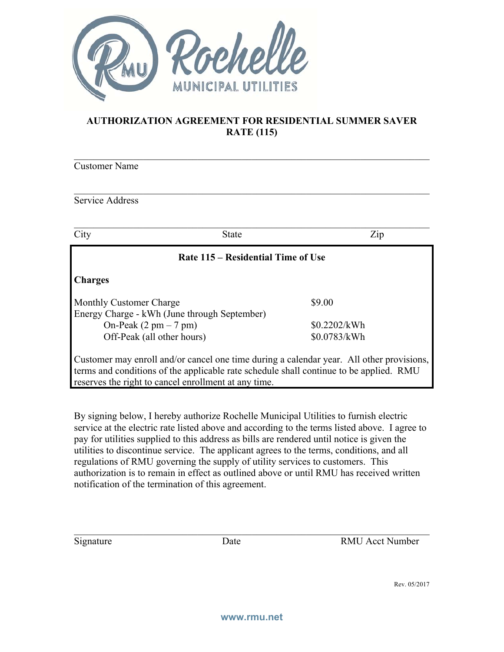

## **AUTHORIZATION AGREEMENT FOR RESIDENTIAL SUMMER SAVER RATE (115)**

Customer Name

## Service Address

| City                                    | <b>State</b>                                 | Zip                                                                                                                                                                                |  |
|-----------------------------------------|----------------------------------------------|------------------------------------------------------------------------------------------------------------------------------------------------------------------------------------|--|
| Rate 115 – Residential Time of Use      |                                              |                                                                                                                                                                                    |  |
| <b>Charges</b>                          |                                              |                                                                                                                                                                                    |  |
| Monthly Customer Charge                 |                                              | \$9.00                                                                                                                                                                             |  |
|                                         | Energy Charge - kWh (June through September) |                                                                                                                                                                                    |  |
| On-Peak $(2 \text{ pm} - 7 \text{ pm})$ |                                              | \$0.2202/kWh                                                                                                                                                                       |  |
| Off-Peak (all other hours)              |                                              | \$0.0783/kWh                                                                                                                                                                       |  |
|                                         |                                              | Customer may enroll and/or cancel one time during a calendar year. All other provisions,<br>terms and conditions of the applicable rate schedule shall continue to be applied. RMU |  |

reserves the right to cancel enrollment at any time.

By signing below, I hereby authorize Rochelle Municipal Utilities to furnish electric service at the electric rate listed above and according to the terms listed above. I agree to pay for utilities supplied to this address as bills are rendered until notice is given the utilities to discontinue service. The applicant agrees to the terms, conditions, and all regulations of RMU governing the supply of utility services to customers. This authorization is to remain in effect as outlined above or until RMU has received written notification of the termination of this agreement.

Signature Date Date RMU Acct Number

Rev. 05/2017